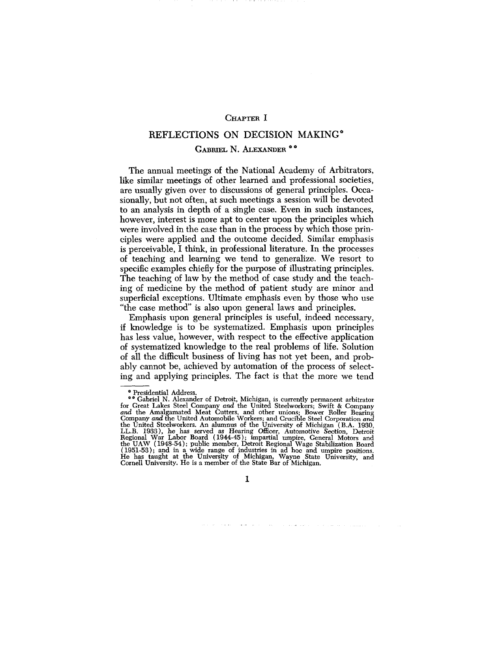## CHAPTER I

## REFLECTIONS ON DECISION MAKING\*

## GABRIEL N. ALEXANDER \*\*

The annual meetings of the National Academy of Arbitrators, like similar meetings of other learned and professional societies, are usually given over to discussions of general principles. Occasionally, but not often, at such meetings a session will be devoted to an analysis in depth of a single case. Even in such instances, however, interest is more apt to center upon the principles which were involved in the case than in the process by which those principles were applied and the outcome decided. Similar emphasis is perceivable, I think, in professional literature. In the processes of teaching and learning we tend to generalize. We resort to specific examples chiefly for the purpose of illustrating principles. The teaching of law by the method of case study and the teaching of medicine by the method of patient study are minor and superficial exceptions. Ultimate emphasis even by those who use "the case method" is also upon general laws and principles.

Emphasis upon general principles is useful, indeed necessary, if knowledge is to be systematized. Emphasis upon principles has less value, however, with respect to the effective application of systematized knowledge to the real problems of life. Solution of all the difficult business of living has not yet been, and probably cannot be, achieved by automation of the process of selecting and applying principles. The fact is that the more we tend

 $\mathbf{I}$ 

 $\alpha$  and  $\alpha$  and  $\alpha$ 

<sup>\*</sup> Presidential Address.<br>\* Testical Address.<br>\* Cabriel N. Alexander of Detroit, Michigan, is currently permanent arbitrator<br>for Great Lakes Steel Company and the United Steelworkers; Swift & Company<br>and the United Automobil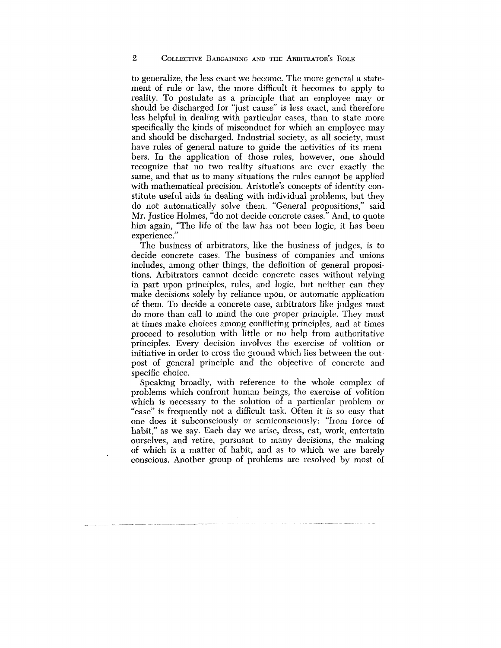to generalize, the less exact we become. The more general a statement of rule or law, the more difficult it becomes to apply to reality. To postulate as a principle that an employee may or should be discharged for "just cause" is less exact, and therefore less helpful in dealing with particular cases, than to state more specifically the kinds of misconduct for which an employee may and should be discharged. Industrial society, as all society, must have rules of general nature to guide the activities of its members. In the application of those rules, however, one should recognize that no two reality situations are ever exactly the same, and that as to many situations the rules cannot be applied with mathematical precision. Aristotle's concepts of identity constitute useful aids in dealing with individual problems, but they do not automatically solve them. "General propositions," said Mr. Justice Holmes, "do not decide concrete cases." And, to quote him again, "The life of the law has not been logic, it has been experience."

The business of arbitrators, like the business of judges, is to decide concrete cases. The business of companies and unions includes, among other things, the definition of general propositions. Arbitrators cannot decide concrete cases without relying in part upon principles, rules, and logic, but neither can they make decisions solely by reliance upon, or automatic application of them. To decide a concrete case, arbitrators like judges must do more than call to mind the one proper principle. They must at times make choices among conflicting principles, and at times proceed to resolution with little or no help from authoritative principles. Every decision involves the exercise of volition or initiative in order to cross the ground which lies between the outpost of general principle and the objective of concrete and specific choice.

Speaking broadly, with reference to the whole complex of problems which confront human beings, the exercise of volition which is necessary to the solution of a particular problem or "case" is frequently not a difficult task. Often it is so easy that one does it subconsciously or semiconsciously: "from force of habit," as we say. Each day we arise, dress, eat, work, entertain ourselves, and retire, pursuant to many decisions, the making of which is a matter of habit, and as to which we are barely conscious. Another group of problems are resolved by most of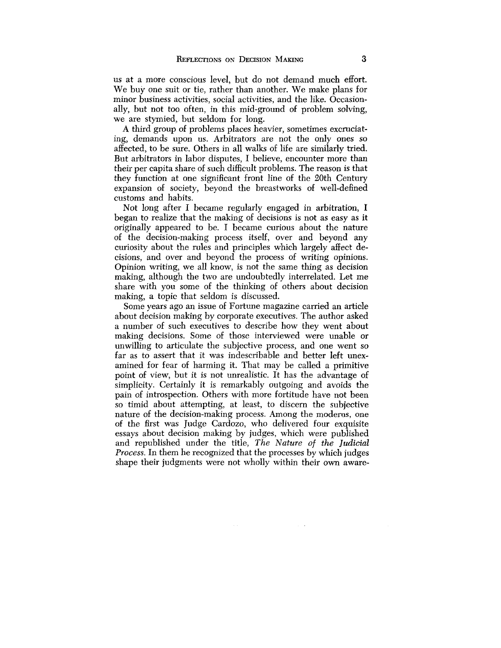us at a more conscious level, but do not demand much effort. We buy one suit or tie, rather than another. We make plans for minor business activities, social activities, and the like. Occasionally, but not too often, in this mid-ground of problem solving, we are stymied, but seldom for long.

A third group of problems places heavier, sometimes excruciating, demands upon us. Arbitrators are not the only ones so affected, to be sure. Others in all walks of life are similarly tried. But arbitrators in labor disputes, I believe, encounter more than their per capita share of such difficult problems. The reason is that they function at one significant front line of the 20th Century expansion of society, beyond the breastworks of well-defined customs and habits.

Not long after I became regularly engaged in arbitration, I began to realize that the making of decisions is not as easy as it originally appeared to be. I became curious about the nature of the decision-making process itself, over and beyond any curiosity about the rules and principles which largely affect decisions, and over and beyond the process of writing opinions. Opinion writing, we all know, is not the same thing as decision making, although the two are undoubtedly interrelated. Let me share with you some of the thinking of others about decision making, a topic that seldom is discussed.

Some years ago an issue of Fortune magazine carried an article about decision making by corporate executives. The author asked a number of such executives to describe how they went about making decisions. Some of those interviewed were unable or unwilling to articulate the subjective process, and one went so far as to assert that it was indescribable and better left unexamined for fear of harming it. That may be called a primitive point of view, but it is not unrealistic. It has the advantage of simplicity. Certainly it is remarkably outgoing and avoids the pain of introspection. Others with more fortitude have not been so timid about attempting, at least, to discern the subjective nature of the decision-making process. Among the moderns, one of the first was Judge Cardozo, who delivered four exquisite essays about decision making by judges, which were published and republished under the title, *The Nature of the Judicial Process.* In them he recognized that the processes by which judges shape their judgments were not wholly within their own aware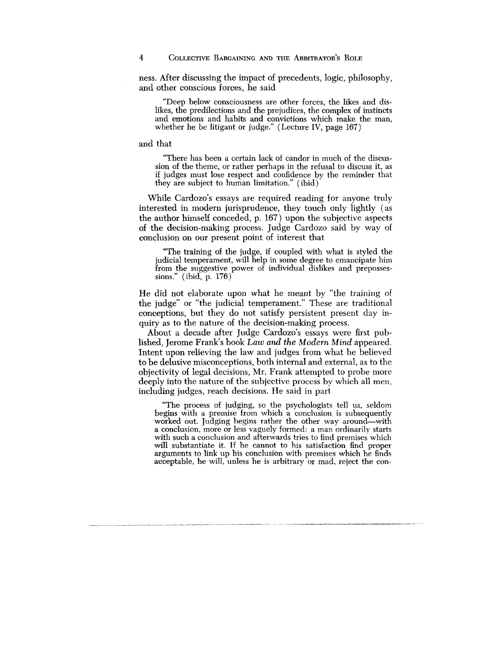ness. After discussing the impact of precedents, logic, philosophy, and other conscious forces, he said

"Deep below consciousness are other forces, the likes and dislikes, the predilections and the prejudices, the complex of instincts and emotions and habits and convictions which make the man, whether he be litigant or judge." (Lecture IV, page 167)

and that

"There has been a certain lack of candor in much of the discussion of the theme, or rather perhaps in the refusal to discuss it, as if judges must lose respect and confidence by the reminder that they are subject to human limitation." (ibid)

While Cardozo's essays are required reading for anyone truly interested in modern jurisprudence, they touch only lightly (as the author himself conceded, p. 167) upon the subjective aspects of the decision-making process. Judge Cardozo said by way of conclusion on our present point of interest that

"The training of the judge, if coupled with what is styled the judicial temperament, will help in some degree to emancipate him from the suggestive power of individual dislikes and prepossessions." (ibid, p. 176)

He did not elaborate upon what he meant by "the training of the judge" or "the judicial temperament." These are traditional conceptions, but they do not satisfy persistent present day inquiry as to the nature of the decision-making process.

About a decade after Judge Cardozo's essays were first published, Jerome Frank's book *Law and the Modern Mind* appeared. Intent upon relieving the law and judges from what he believed to be delusive misconceptions, both internal and external, as to the objectivity of legal decisions, Mr. Frank attempted to probe more deeply into the nature of the subjective process by which all men, including judges, reach decisions. He said in part

"The process of judging, so the psychologists tell us, seldom begins with a premise from which a conclusion is subsequently worked out. Judging begins rather the other way around—with a conclusion, more or less vaguely formed: a man ordinarily starts with such a conclusion and afterwards tries to find premises which will substantiate it. If he cannot to his satisfaction find proper arguments to link up his conclusion with premises which he finds acceptable, he will, unless he is arbitrary or mad, reject the con-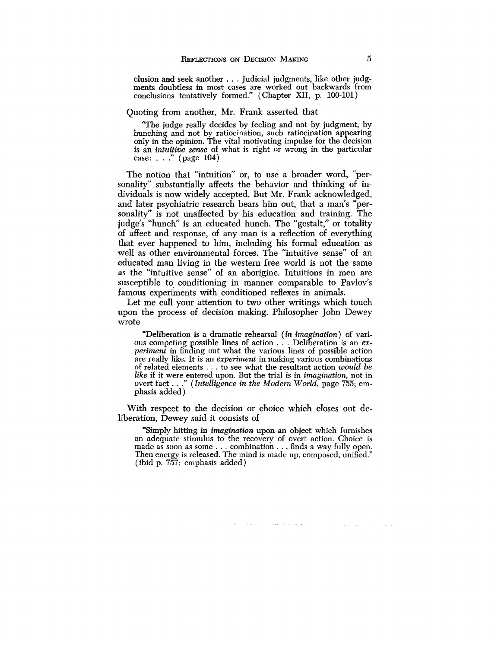elusion and seek another . . . Judicial judgments, like other judgments doubtless in most cases are worked out backwards from conclusions tentatively formed." (Chapter XII, p. 100-101)

Quoting from another, Mr. Frank asserted that

"The judge really decides by feeling and not by judgment, by hunching and not by ratiocination, such ratiocination appearing only in the opinion. The vital motivating impulse for the decision is an *intuitive sense* of what is right or wrong in the particular case: . . ." (page 104)

The notion that "intuition" or, to use a broader word, "personality" substantially affects the behavior and thinking of individuals is now widely accepted. But Mr. Frank acknowledged, and later psychiatric research bears him out, that a man's "personality" is not unaffected by his education and training. The judge's "hunch" is an educated hunch. The "gestalt," or totality of affect and response, of any man is a reflection of everything that ever happened to him, including his formal education as well as other environmental forces. The "intuitive sense" of an educated man living in the western free world is not the same as the "intuitive sense" of an aborigine. Intuitions in men are susceptible to conditioning in manner comparable to Pavlov's famous experiments with conditioned reflexes in animals.

Let me call your attention to two other writings which touch upon the process of decision making. Philosopher John Dewey wrote

"Deliberation is a dramatic rehearsal *(in imagination)* of various competing possible lines of action . . . Deliberation is an *experiment* in finding out what the various lines of possible action are really like. It is an *experiment* in making various combinations of related elements .. . to see what the resultant action *would be like* if it were entered upon. But the trial is in *imagination,* not in overt fact . . ." *(Intelligence in the Modern World,* page 755; emphasis added)

With respect to the decision or choice which closes out deliberation, Dewey said it consists of

"Simply hitting in *imagination* upon an object which furnishes an adequate stimulus to the recovery of overt action. Choice is made as soon as some . . . combination . . . finds a way fully open. Then energy is released. The mind is made up, composed, unified." (ibid p. 757; emphasis added)

a mortal contract and other and companies are a serious companies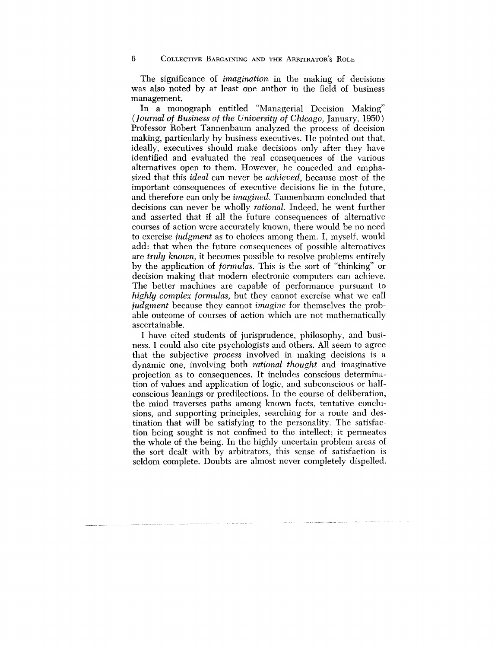The significance of *imagination* in the making of decisions was also noted by at least one author in the field of business management.

In a monograph entitled "Managerial Decision Making" (*Journal of Business of the University of Chicago,* January, 1950) Professor Robert Tannenbaum analyzed the process of decision making, particularly by business executives. He pointed out that, ideally, executives should make decisions only after they have identified and evaluated the real consequences of the various alternatives open to them. However, he conceded and emphasized that this *ideal* can never be *achieved,* because most of the important consequences of executive decisions lie in the future, and therefore can only be *imagined.* Tannenbaum concluded that decisions can never be wholly *rational.* Indeed, he went further and asserted that if all the future consequences of alternative courses of action were accurately known, there would be no need to exercise *judgment* as to choices among them. I, myself, would add: that when the future consequences of possible alternatives are *truly known,* it becomes possible to resolve problems entirely by the application of *formulas.* This is the sort of "thinking" or decision making that modern electronic computers can achieve. The better machines are capable of performance pursuant to *highly complex formulas,* but they cannot exercise what we call *judgment* because they cannot *imagine* for themselves the probable outcome of courses of action which are not mathematically ascertainable.

I have cited students of jurisprudence, philosophy, and business. I could also cite psychologists and others. All seem to agree that the subjective *process* involved in making decisions is a dynamic one, involving both *rational thought* and imaginative projection as to consequences. It includes conscious determination of values and application of logic, and subconscious or halfconscious leanings or predilections. In the course of deliberation, the mind traverses paths among known facts, tentative conclusions, and supporting principles, searching for a route and destination that will be satisfying to the personality. The satisfaction being sought is not confined to the intellect; it permeates the whole of the being. In the highly uncertain problem areas of the sort dealt with by arbitrators, this sense of satisfaction is seldom complete. Doubts are almost never completely dispelled.